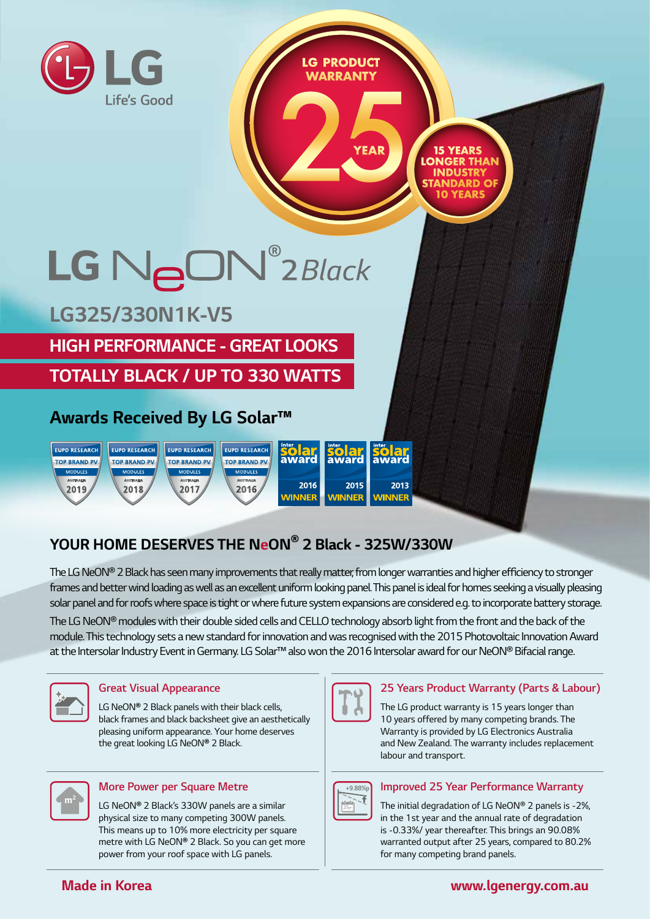

# **YOUR HOME DESERVES THE NeON® 2 Black - 325W/330W**

The LG NeON® 2 Black has seen many improvements that really matter, from longer warranties and higher effciency to stronger frames and better wind loading as well as an excellent uniform looking panel. This panel is ideal for homes seeking a visually pleasing solar panel and for roofs where space is tight or where future system expansions are considered e.g. to incorporate battery storage.

The LG NeON® modules with their double sided cells and CELLO technology absorb light from the front and the back of the module. This technology sets a new standard for innovation and was recognised with the 2015 Photovoltaic Innovation Award at the Intersolar Industry Event in Germany. LG Solar™ also won the 2016 Intersolar award for our NeON® Bifacial range.



#### **Great Visual Appearance**

LG NeON**®** 2 Black panels with their black cells, black frames and black backsheet give an aesthetically pleasing uniform appearance. Your home deserves the great looking LG NeON**®** 2 Black.



#### **More Power per Square Metre**

LG NeON**®** 2 Black's 330W panels are a similar physical size to many competing 300W panels. This means up to 10% more electricity per square metre with LG NeON**®** 2 Black. So you can get more power from your roof space with LG panels.



#### **25 Years Product Warranty (Parts & Labour)**

The LG product warranty is 15 years longer than 10 years offered by many competing brands. The Warranty is provided by LG Electronics Australia and New Zealand. The warranty includes replacement labour and transport.



#### **Improved 25 Year Performance Warranty**

The initial degradation of LG NeON® 2 panels is -2%, in the 1st year and the annual rate of degradation is -0.33%/ year thereafter. This brings an 90.08% warranted output after 25 years, compared to 80.2% for many competing brand panels.

## **Made in Korea**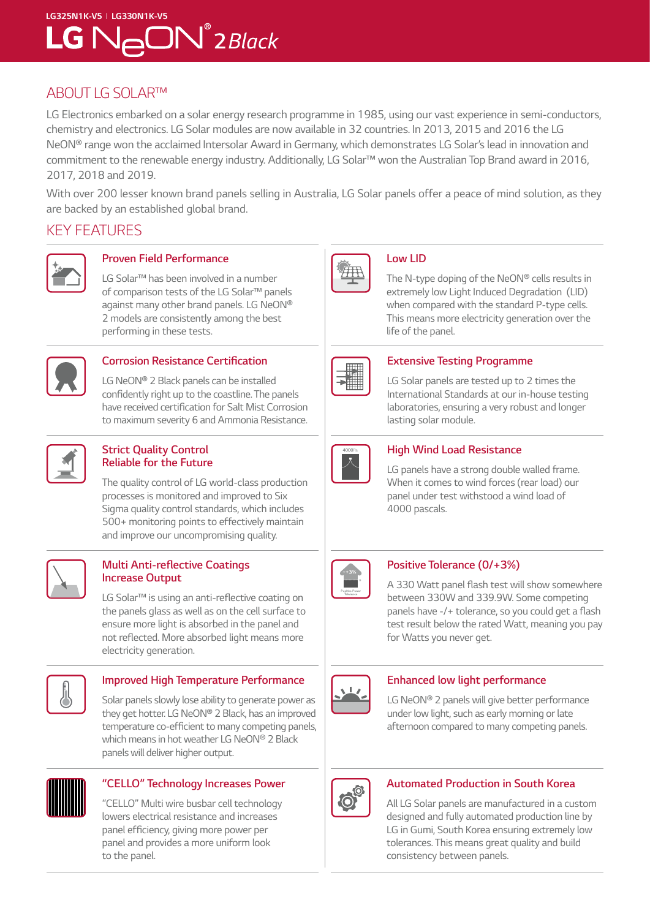# **LG325N1K-V5** I **LG330N1K-V5**  $LG$   $N$  $\ominus$   $ON^{\circ}$   $2$  Black

# ABOUT LG SOLAR™

LG Electronics embarked on a solar energy research programme in 1985, using our vast experience in semi-conductors, chemistry and electronics. LG Solar modules are now available in 32 countries. In 2013, 2015 and 2016 the LG NeON® range won the acclaimed Intersolar Award in Germany, which demonstrates LG Solar's lead in innovation and commitment to the renewable energy industry. Additionally, LG Solar™ won the Australian Top Brand award in 2016, 2017, 2018 and 2019.

With over 200 lesser known brand panels selling in Australia, LG Solar panels offer a peace of mind solution, as they are backed by an established global brand.

# KEY FEATURES



## **Proven Field Performance**

LG Solar™ has been involved in a number of comparison tests of the LG Solar™ panels against many other brand panels. LG NeON® 2 models are consistently among the best performing in these tests.



#### **Corrosion Resistance Certifcation**

LG NeON® 2 Black panels can be installed confdently right up to the coastline. The panels have received certifcation for Salt Mist Corrosion to maximum severity 6 and Ammonia Resistance.



#### **Strict Quality Control Reliable for the Future**

The quality control of LG world-class production processes is monitored and improved to Six Sigma quality control standards, which includes 500+ monitoring points to effectively maintain and improve our uncompromising quality.



#### **Multi Anti-refective Coatings Increase Output**

LG Solar<sup>™</sup> is using an anti-reflective coating on the panels glass as well as on the cell surface to ensure more light is absorbed in the panel and not refected. More absorbed light means more electricity generation.



#### **Improved High Temperature Performance**

Solar panels slowly lose ability to generate power as they get hotter. LG NeON® 2 Black, has an improved temperature co-effcient to many competing panels, which means in hot weather LG NeON® 2 Black panels will deliver higher output.



## **"CELLO" Technology Increases Power**

"CELLO" Multi wire busbar cell technology lowers electrical resistance and increases panel effciency, giving more power per panel and provides a more uniform look to the panel.



#### **Low LID**

The N-type doping of the NeON® cells results in extremely low Light Induced Degradation (LID) when compared with the standard P-type cells. This means more electricity generation over the life of the panel.



#### **Extensive Testing Programme**

LG Solar panels are tested up to 2 times the International Standards at our in-house testing laboratories, ensuring a very robust and longer lasting solar module.



## **High Wind Load Resistance**

LG panels have a strong double walled frame. When it comes to wind forces (rear load) our panel under test withstood a wind load of 4000 pascals.



## **Positive Tolerance (0/+3%)**

A 330 Watt panel fash test will show somewhere between 330W and 339.9W. Some competing panels have -/+ tolerance, so you could get a flash test result below the rated Watt, meaning you pay for Watts you never get.



#### **Enhanced low light performance**

LG NeON® 2 panels will give better performance under low light, such as early morning or late afternoon compared to many competing panels.



#### **Automated Production in South Korea**

All LG Solar panels are manufactured in a custom designed and fully automated production line by LG in Gumi, South Korea ensuring extremely low tolerances. This means great quality and build consistency between panels.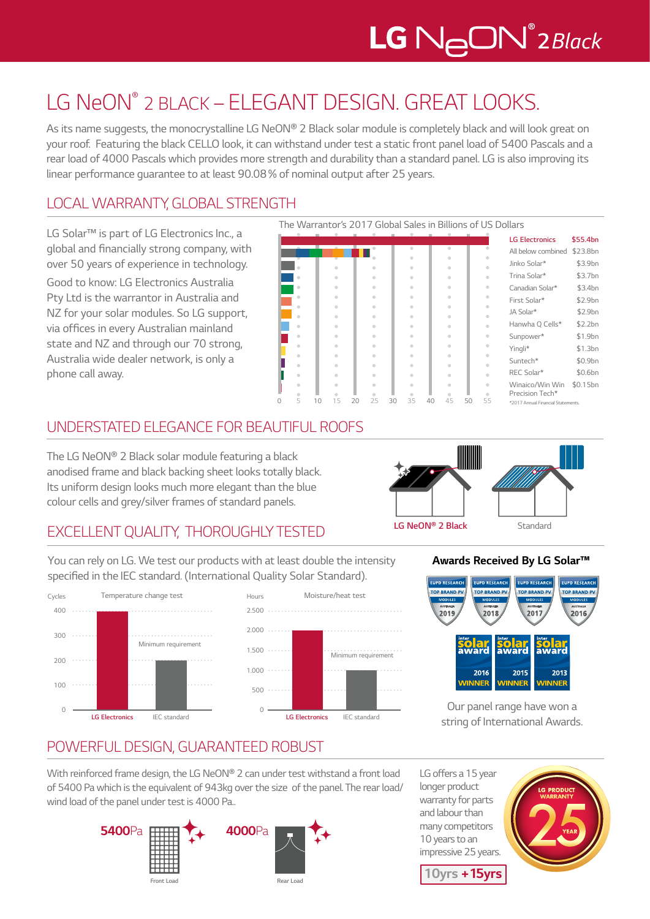# LG NeON® 2 BLACK – ELEGANT DESIGN. GREAT LOOKS.

As its name suggests, the monocrystalline LG NeON® 2 Black solar module is completely black and will look great on your roof. Featuring the black CELLO look, it can withstand under test a static front panel load of 5400 Pascals and a rear load of 4000 Pascals which provides more strength and durability than a standard panel. LG is also improving its linear performance guarantee to at least 90.08% of nominal output after 25 years.

# LOCAL WARRANTY, GLOBAL STRENGTH

LG Solar™ is part of LG Electronics Inc., a global and fnancially strong company, with over 50 years of experience in technology.

Good to know: LG Electronics Australia Pty Ltd is the warrantor in Australia and NZ for your solar modules. So LG support, via offices in every Australian mainland state and NZ and through our 70 strong, Australia wide dealer network, is only a phone call away.



## UNDERSTATED ELEGANCE FOR BEAUTIFUL ROOFS

The LG NeON® 2 Black solar module featuring a black anodised frame and black backing sheet looks totally black. Its uniform design looks much more elegant than the blue colour cells and grey/silver frames of standard panels.



# EXCELLENT QUALITY, THOROUGHLY TESTED

You can rely on LG. We test our products with at least double the intensity specifed in the IEC standard. (International Quality Solar Standard).





## **Awards Received By LG Solar™**



Our panel range have won a string of International Awards.

# POWERFUL DESIGN, GUARANTEED ROBUST

With reinforced frame design, the LG NeON® 2 can under test withstand a front load of 5400 Pa which is the equivalent of 943kg over the size of the panel. The rear load/ wind load of the panel under test is 4000 Pa..



LG offers a 15 year longer product warranty for parts and labour than many competitors 10 years to an impressive 25 years.